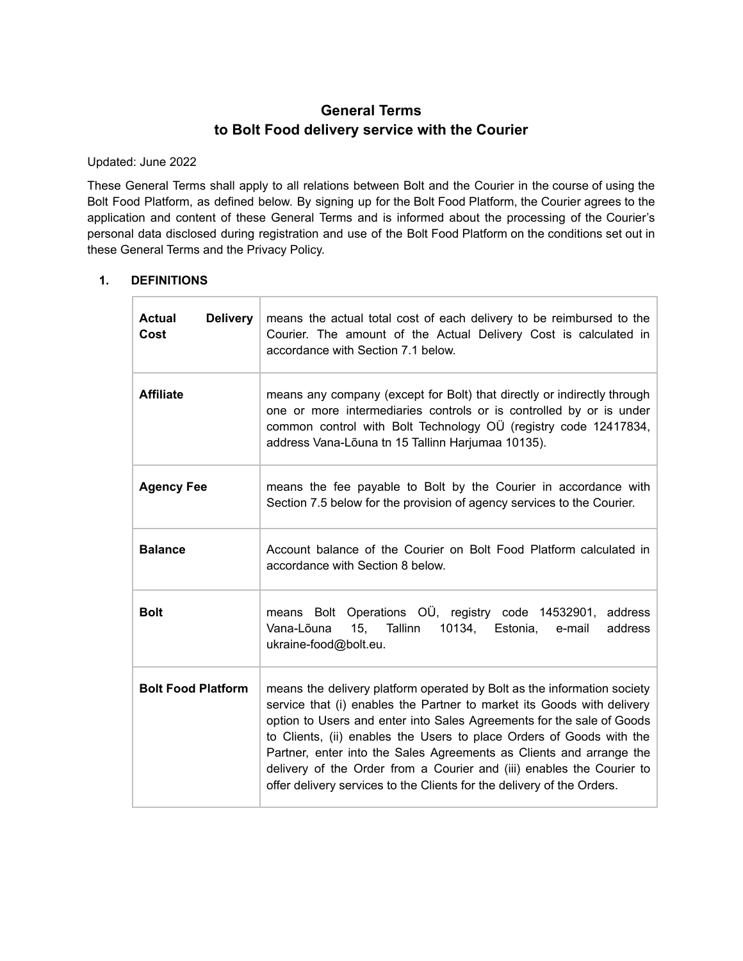# **General Terms to Bolt Food delivery service with the Courier**

Updated: June 2022

These General Terms shall apply to all relations between Bolt and the Courier in the course of using the Bolt Food Platform, as defined below. By signing up for the Bolt Food Platform, the Courier agrees to the application and content of these General Terms and is informed about the processing of the Courier's personal data disclosed during registration and use of the Bolt Food Platform on the conditions set out in these General Terms and the Privacy Policy.

# **1. DEFINITIONS**

| <b>Delivery</b><br><b>Actual</b><br>Cost | means the actual total cost of each delivery to be reimbursed to the<br>Courier. The amount of the Actual Delivery Cost is calculated in<br>accordance with Section 7.1 below.                                                                                                                                                                                                                                                                                                                                               |
|------------------------------------------|------------------------------------------------------------------------------------------------------------------------------------------------------------------------------------------------------------------------------------------------------------------------------------------------------------------------------------------------------------------------------------------------------------------------------------------------------------------------------------------------------------------------------|
| <b>Affiliate</b>                         | means any company (except for Bolt) that directly or indirectly through<br>one or more intermediaries controls or is controlled by or is under<br>common control with Bolt Technology OÜ (registry code 12417834,<br>address Vana-Lõuna tn 15 Tallinn Harjumaa 10135).                                                                                                                                                                                                                                                       |
| <b>Agency Fee</b>                        | means the fee payable to Bolt by the Courier in accordance with<br>Section 7.5 below for the provision of agency services to the Courier.                                                                                                                                                                                                                                                                                                                                                                                    |
| <b>Balance</b>                           | Account balance of the Courier on Bolt Food Platform calculated in<br>accordance with Section 8 below.                                                                                                                                                                                                                                                                                                                                                                                                                       |
| <b>Bolt</b>                              | means Bolt Operations OU, registry code 14532901,<br>address<br>15,<br>Vana-Lõuna<br>Tallinn<br>10134,<br>address<br>Estonia,<br>e-mail<br>ukraine-food@bolt.eu.                                                                                                                                                                                                                                                                                                                                                             |
| <b>Bolt Food Platform</b>                | means the delivery platform operated by Bolt as the information society<br>service that (i) enables the Partner to market its Goods with delivery<br>option to Users and enter into Sales Agreements for the sale of Goods<br>to Clients, (ii) enables the Users to place Orders of Goods with the<br>Partner, enter into the Sales Agreements as Clients and arrange the<br>delivery of the Order from a Courier and (iii) enables the Courier to<br>offer delivery services to the Clients for the delivery of the Orders. |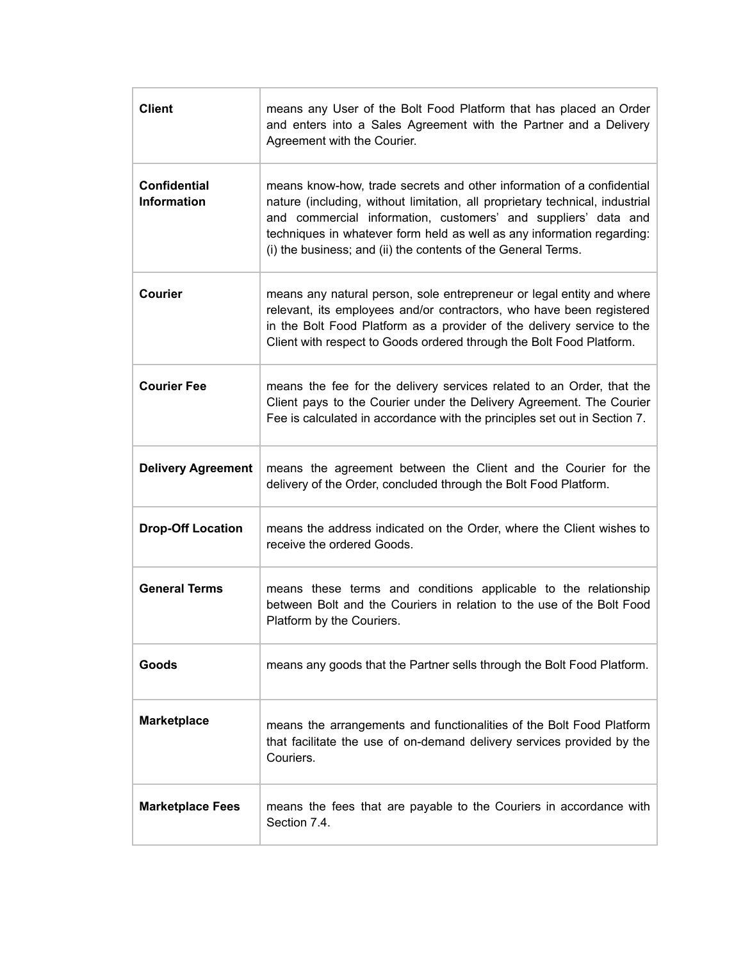| <b>Client</b>                             | means any User of the Bolt Food Platform that has placed an Order<br>and enters into a Sales Agreement with the Partner and a Delivery<br>Agreement with the Courier.                                                                                                                                                                                              |
|-------------------------------------------|--------------------------------------------------------------------------------------------------------------------------------------------------------------------------------------------------------------------------------------------------------------------------------------------------------------------------------------------------------------------|
| <b>Confidential</b><br><b>Information</b> | means know-how, trade secrets and other information of a confidential<br>nature (including, without limitation, all proprietary technical, industrial<br>and commercial information, customers' and suppliers' data and<br>techniques in whatever form held as well as any information regarding:<br>(i) the business; and (ii) the contents of the General Terms. |
| Courier                                   | means any natural person, sole entrepreneur or legal entity and where<br>relevant, its employees and/or contractors, who have been registered<br>in the Bolt Food Platform as a provider of the delivery service to the<br>Client with respect to Goods ordered through the Bolt Food Platform.                                                                    |
| <b>Courier Fee</b>                        | means the fee for the delivery services related to an Order, that the<br>Client pays to the Courier under the Delivery Agreement. The Courier<br>Fee is calculated in accordance with the principles set out in Section 7.                                                                                                                                         |
| <b>Delivery Agreement</b>                 | means the agreement between the Client and the Courier for the<br>delivery of the Order, concluded through the Bolt Food Platform.                                                                                                                                                                                                                                 |
| <b>Drop-Off Location</b>                  | means the address indicated on the Order, where the Client wishes to<br>receive the ordered Goods.                                                                                                                                                                                                                                                                 |
| <b>General Terms</b>                      | means these terms and conditions applicable to the relationship<br>between Bolt and the Couriers in relation to the use of the Bolt Food<br>Platform by the Couriers.                                                                                                                                                                                              |
| Goods                                     | means any goods that the Partner sells through the Bolt Food Platform.                                                                                                                                                                                                                                                                                             |
| <b>Marketplace</b>                        | means the arrangements and functionalities of the Bolt Food Platform<br>that facilitate the use of on-demand delivery services provided by the<br>Couriers.                                                                                                                                                                                                        |
| <b>Marketplace Fees</b>                   | means the fees that are payable to the Couriers in accordance with<br>Section 7.4.                                                                                                                                                                                                                                                                                 |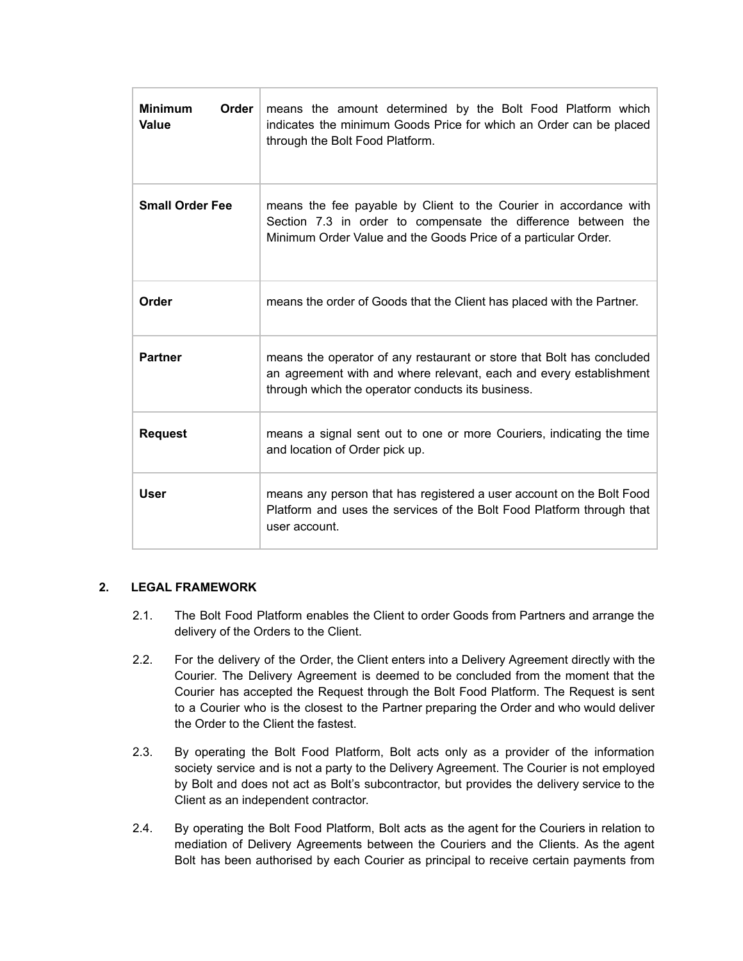| <b>Minimum</b><br>Order<br>Value | means the amount determined by the Bolt Food Platform which<br>indicates the minimum Goods Price for which an Order can be placed<br>through the Bolt Food Platform.                                 |
|----------------------------------|------------------------------------------------------------------------------------------------------------------------------------------------------------------------------------------------------|
| <b>Small Order Fee</b>           | means the fee payable by Client to the Courier in accordance with<br>Section 7.3 in order to compensate the difference between the<br>Minimum Order Value and the Goods Price of a particular Order. |
| Order                            | means the order of Goods that the Client has placed with the Partner.                                                                                                                                |
| <b>Partner</b>                   | means the operator of any restaurant or store that Bolt has concluded<br>an agreement with and where relevant, each and every establishment<br>through which the operator conducts its business.     |
| <b>Request</b>                   | means a signal sent out to one or more Couriers, indicating the time<br>and location of Order pick up.                                                                                               |
| <b>User</b>                      | means any person that has registered a user account on the Bolt Food<br>Platform and uses the services of the Bolt Food Platform through that<br>user account.                                       |

## **2. LEGAL FRAMEWORK**

- 2.1. The Bolt Food Platform enables the Client to order Goods from Partners and arrange the delivery of the Orders to the Client.
- 2.2. For the delivery of the Order, the Client enters into a Delivery Agreement directly with the Courier. The Delivery Agreement is deemed to be concluded from the moment that the Courier has accepted the Request through the Bolt Food Platform. The Request is sent to a Courier who is the closest to the Partner preparing the Order and who would deliver the Order to the Client the fastest.
- 2.3. By operating the Bolt Food Platform, Bolt acts only as a provider of the information society service and is not a party to the Delivery Agreement. The Courier is not employed by Bolt and does not act as Bolt's subcontractor, but provides the delivery service to the Client as an independent contractor.
- 2.4. By operating the Bolt Food Platform, Bolt acts as the agent for the Couriers in relation to mediation of Delivery Agreements between the Couriers and the Clients. As the agent Bolt has been authorised by each Courier as principal to receive certain payments from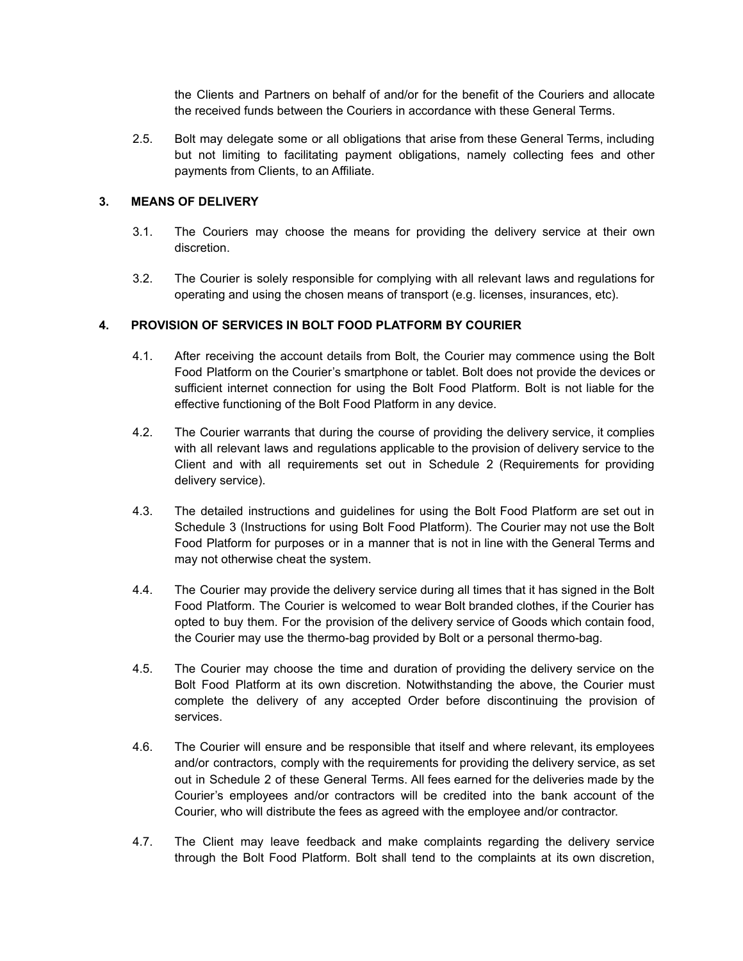the Clients and Partners on behalf of and/or for the benefit of the Couriers and allocate the received funds between the Couriers in accordance with these General Terms.

2.5. Bolt may delegate some or all obligations that arise from these General Terms, including but not limiting to facilitating payment obligations, namely collecting fees and other payments from Clients, to an Affiliate.

#### **3. MEANS OF DELIVERY**

- 3.1. The Couriers may choose the means for providing the delivery service at their own discretion.
- 3.2. The Courier is solely responsible for complying with all relevant laws and regulations for operating and using the chosen means of transport (e.g. licenses, insurances, etc).

#### **4. PROVISION OF SERVICES IN BOLT FOOD PLATFORM BY COURIER**

- 4.1. After receiving the account details from Bolt, the Courier may commence using the Bolt Food Platform on the Courier's smartphone or tablet. Bolt does not provide the devices or sufficient internet connection for using the Bolt Food Platform. Bolt is not liable for the effective functioning of the Bolt Food Platform in any device.
- 4.2. The Courier warrants that during the course of providing the delivery service, it complies with all relevant laws and regulations applicable to the provision of delivery service to the Client and with all requirements set out in Schedule 2 (Requirements for providing delivery service).
- 4.3. The detailed instructions and guidelines for using the Bolt Food Platform are set out in Schedule 3 (Instructions for using Bolt Food Platform). The Courier may not use the Bolt Food Platform for purposes or in a manner that is not in line with the General Terms and may not otherwise cheat the system.
- 4.4. The Courier may provide the delivery service during all times that it has signed in the Bolt Food Platform. The Courier is welcomed to wear Bolt branded clothes, if the Courier has opted to buy them. For the provision of the delivery service of Goods which contain food, the Courier may use the thermo-bag provided by Bolt or a personal thermo-bag.
- 4.5. The Courier may choose the time and duration of providing the delivery service on the Bolt Food Platform at its own discretion. Notwithstanding the above, the Courier must complete the delivery of any accepted Order before discontinuing the provision of services.
- 4.6. The Courier will ensure and be responsible that itself and where relevant, its employees and/or contractors, comply with the requirements for providing the delivery service, as set out in Schedule 2 of these General Terms. All fees earned for the deliveries made by the Courier's employees and/or contractors will be credited into the bank account of the Courier, who will distribute the fees as agreed with the employee and/or contractor.
- 4.7. The Client may leave feedback and make complaints regarding the delivery service through the Bolt Food Platform. Bolt shall tend to the complaints at its own discretion,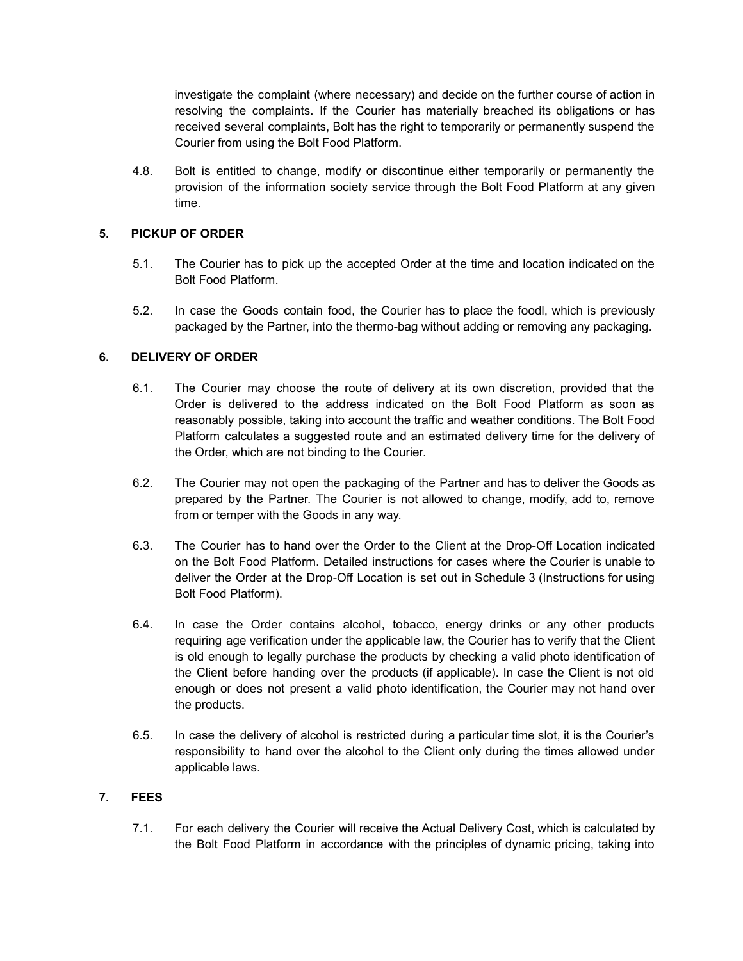investigate the complaint (where necessary) and decide on the further course of action in resolving the complaints. If the Courier has materially breached its obligations or has received several complaints, Bolt has the right to temporarily or permanently suspend the Courier from using the Bolt Food Platform.

4.8. Bolt is entitled to change, modify or discontinue either temporarily or permanently the provision of the information society service through the Bolt Food Platform at any given time.

# **5. PICKUP OF ORDER**

- 5.1. The Courier has to pick up the accepted Order at the time and location indicated on the Bolt Food Platform.
- 5.2. In case the Goods contain food, the Courier has to place the foodl, which is previously packaged by the Partner, into the thermo-bag without adding or removing any packaging.

# **6. DELIVERY OF ORDER**

- 6.1. The Courier may choose the route of delivery at its own discretion, provided that the Order is delivered to the address indicated on the Bolt Food Platform as soon as reasonably possible, taking into account the traffic and weather conditions. The Bolt Food Platform calculates a suggested route and an estimated delivery time for the delivery of the Order, which are not binding to the Courier.
- 6.2. The Courier may not open the packaging of the Partner and has to deliver the Goods as prepared by the Partner. The Courier is not allowed to change, modify, add to, remove from or temper with the Goods in any way.
- 6.3. The Courier has to hand over the Order to the Client at the Drop-Off Location indicated on the Bolt Food Platform. Detailed instructions for cases where the Courier is unable to deliver the Order at the Drop-Off Location is set out in Schedule 3 (Instructions for using Bolt Food Platform).
- 6.4. In case the Order contains alcohol, tobacco, energy drinks or any other products requiring age verification under the applicable law, the Courier has to verify that the Client is old enough to legally purchase the products by checking a valid photo identification of the Client before handing over the products (if applicable). In case the Client is not old enough or does not present a valid photo identification, the Courier may not hand over the products.
- 6.5. In case the delivery of alcohol is restricted during a particular time slot, it is the Courier's responsibility to hand over the alcohol to the Client only during the times allowed under applicable laws.

# **7. FEES**

7.1. For each delivery the Courier will receive the Actual Delivery Cost, which is calculated by the Bolt Food Platform in accordance with the principles of dynamic pricing, taking into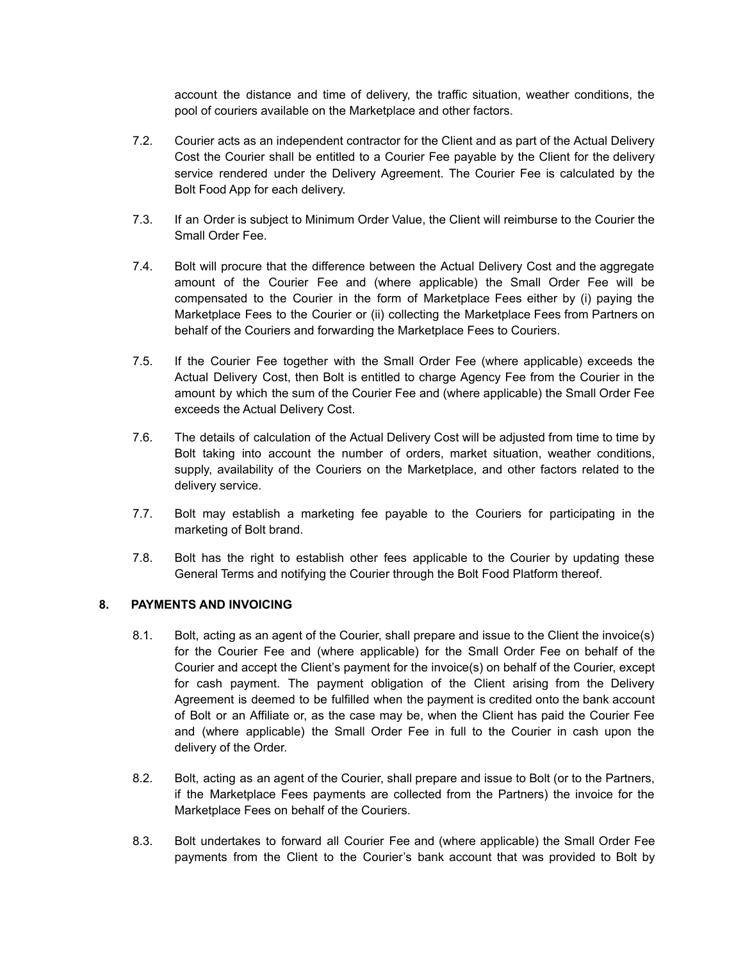account the distance and time of delivery, the traffic situation, weather conditions, the pool of couriers available on the Marketplace and other factors.

- 7.2. Courier acts as an independent contractor for the Client and as part of the Actual Delivery Cost the Courier shall be entitled to a Courier Fee payable by the Client for the delivery service rendered under the Delivery Agreement. The Courier Fee is calculated by the Bolt Food App for each delivery.
- 7.3. If an Order is subject to Minimum Order Value, the Client will reimburse to the Courier the Small Order Fee.
- 7.4. Bolt will procure that the difference between the Actual Delivery Cost and the aggregate amount of the Courier Fee and (where applicable) the Small Order Fee will be compensated to the Courier in the form of Marketplace Fees either by (i) paying the Marketplace Fees to the Courier or (ii) collecting the Marketplace Fees from Partners on behalf of the Couriers and forwarding the Marketplace Fees to Couriers.
- 7.5. If the Courier Fee together with the Small Order Fee (where applicable) exceeds the Actual Delivery Cost, then Bolt is entitled to charge Agency Fee from the Courier in the amount by which the sum of the Courier Fee and (where applicable) the Small Order Fee exceeds the Actual Delivery Cost.
- 7.6. The details of calculation of the Actual Delivery Cost will be adjusted from time to time by Bolt taking into account the number of orders, market situation, weather conditions, supply, availability of the Couriers on the Marketplace, and other factors related to the delivery service.
- 7.7. Bolt may establish a marketing fee payable to the Couriers for participating in the marketing of Bolt brand.
- 7.8. Bolt has the right to establish other fees applicable to the Courier by updating these General Terms and notifying the Courier through the Bolt Food Platform thereof.

## **8. PAYMENTS AND INVOICING**

- 8.1. Bolt, acting as an agent of the Courier, shall prepare and issue to the Client the invoice(s) for the Courier Fee and (where applicable) for the Small Order Fee on behalf of the Courier and accept the Client's payment for the invoice(s) on behalf of the Courier, except for cash payment. The payment obligation of the Client arising from the Delivery Agreement is deemed to be fulfilled when the payment is credited onto the bank account of Bolt or an Affiliate or, as the case may be, when the Client has paid the Courier Fee and (where applicable) the Small Order Fee in full to the Courier in cash upon the delivery of the Order.
- 8.2. Bolt, acting as an agent of the Courier, shall prepare and issue to Bolt (or to the Partners, if the Marketplace Fees payments are collected from the Partners) the invoice for the Marketplace Fees on behalf of the Couriers.
- 8.3. Bolt undertakes to forward all Courier Fee and (where applicable) the Small Order Fee payments from the Client to the Courier's bank account that was provided to Bolt by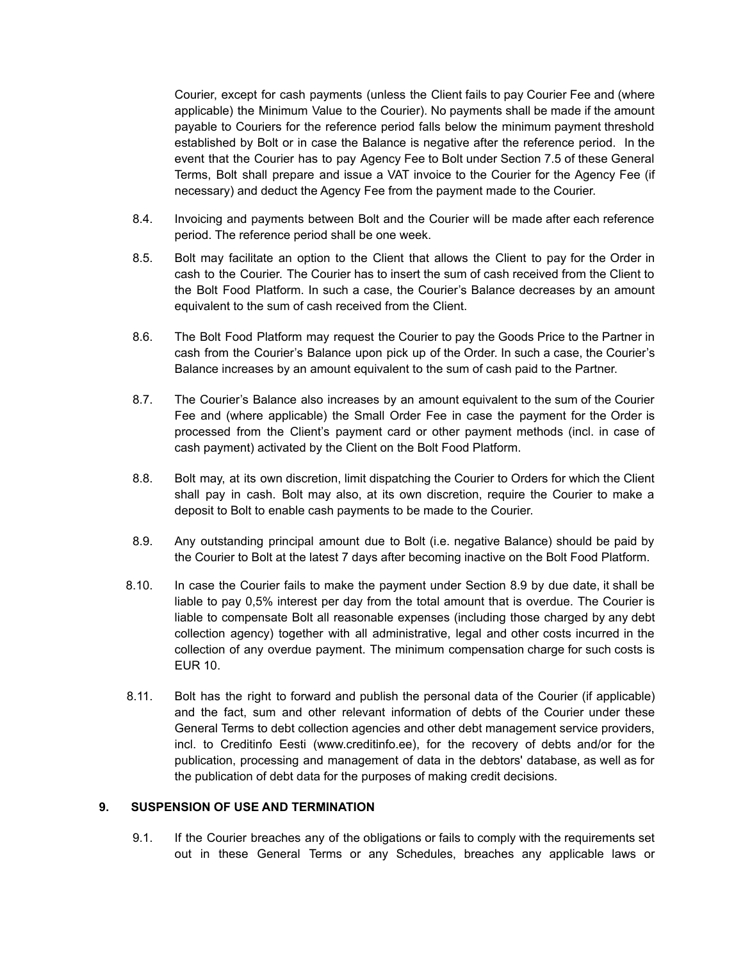Courier, except for cash payments (unless the Client fails to pay Courier Fee and (where applicable) the Minimum Value to the Courier). No payments shall be made if the amount payable to Couriers for the reference period falls below the minimum payment threshold established by Bolt or in case the Balance is negative after the reference period. In the event that the Courier has to pay Agency Fee to Bolt under Section 7.5 of these General Terms, Bolt shall prepare and issue a VAT invoice to the Courier for the Agency Fee (if necessary) and deduct the Agency Fee from the payment made to the Courier.

- 8.4. Invoicing and payments between Bolt and the Courier will be made after each reference period. The reference period shall be one week.
- 8.5. Bolt may facilitate an option to the Client that allows the Client to pay for the Order in cash to the Courier. The Courier has to insert the sum of cash received from the Client to the Bolt Food Platform. In such a case, the Courier's Balance decreases by an amount equivalent to the sum of cash received from the Client.
- 8.6. The Bolt Food Platform may request the Courier to pay the Goods Price to the Partner in cash from the Courier's Balance upon pick up of the Order. In such a case, the Courier's Balance increases by an amount equivalent to the sum of cash paid to the Partner.
- 8.7. The Courier's Balance also increases by an amount equivalent to the sum of the Courier Fee and (where applicable) the Small Order Fee in case the payment for the Order is processed from the Client's payment card or other payment methods (incl. in case of cash payment) activated by the Client on the Bolt Food Platform.
- 8.8. Bolt may, at its own discretion, limit dispatching the Courier to Orders for which the Client shall pay in cash. Bolt may also, at its own discretion, require the Courier to make a deposit to Bolt to enable cash payments to be made to the Courier.
- 8.9. Any outstanding principal amount due to Bolt (i.e. negative Balance) should be paid by the Courier to Bolt at the latest 7 days after becoming inactive on the Bolt Food Platform.
- 8.10. In case the Courier fails to make the payment under Section 8.9 by due date, it shall be liable to pay 0,5% interest per day from the total amount that is overdue. The Courier is liable to compensate Bolt all reasonable expenses (including those charged by any debt collection agency) together with all administrative, legal and other costs incurred in the collection of any overdue payment. The minimum compensation charge for such costs is EUR 10.
- 8.11. Bolt has the right to forward and publish the personal data of the Courier (if applicable) and the fact, sum and other relevant information of debts of the Courier under these General Terms to debt collection agencies and other debt management service providers, incl. to Creditinfo Eesti ([www.creditinfo.ee\)](http://www.creditinfo.ee), for the recovery of debts and/or for the publication, processing and management of data in the debtors' database, as well as for the publication of debt data for the purposes of making credit decisions.

#### **9. SUSPENSION OF USE AND TERMINATION**

9.1. If the Courier breaches any of the obligations or fails to comply with the requirements set out in these General Terms or any Schedules, breaches any applicable laws or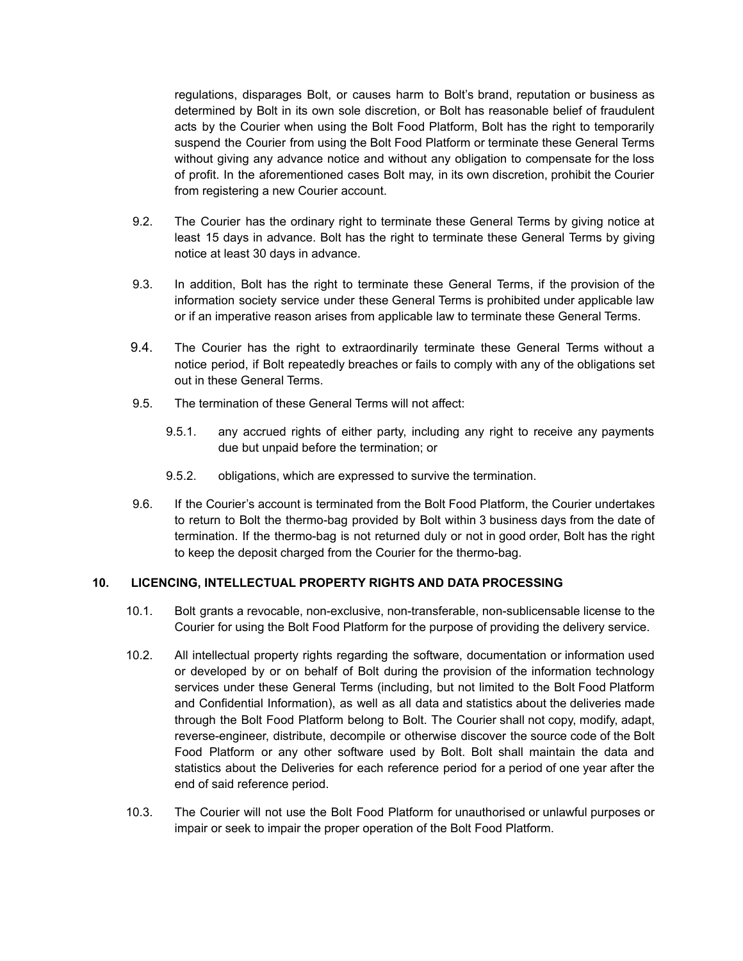regulations, disparages Bolt, or causes harm to Bolt's brand, reputation or business as determined by Bolt in its own sole discretion, or Bolt has reasonable belief of fraudulent acts by the Courier when using the Bolt Food Platform, Bolt has the right to temporarily suspend the Courier from using the Bolt Food Platform or terminate these General Terms without giving any advance notice and without any obligation to compensate for the loss of profit. In the aforementioned cases Bolt may, in its own discretion, prohibit the Courier from registering a new Courier account.

- 9.2. The Courier has the ordinary right to terminate these General Terms by giving notice at least 15 days in advance. Bolt has the right to terminate these General Terms by giving notice at least 30 days in advance.
- 9.3. In addition, Bolt has the right to terminate these General Terms, if the provision of the information society service under these General Terms is prohibited under applicable law or if an imperative reason arises from applicable law to terminate these General Terms.
- 9.4. The Courier has the right to extraordinarily terminate these General Terms without a notice period, if Bolt repeatedly breaches or fails to comply with any of the obligations set out in these General Terms.
- 9.5. The termination of these General Terms will not affect:
	- 9.5.1. any accrued rights of either party, including any right to receive any payments due but unpaid before the termination; or
	- 9.5.2. obligations, which are expressed to survive the termination.
- 9.6. If the Courier's account is terminated from the Bolt Food Platform, the Courier undertakes to return to Bolt the thermo-bag provided by Bolt within 3 business days from the date of termination. If the thermo-bag is not returned duly or not in good order, Bolt has the right to keep the deposit charged from the Courier for the thermo-bag.

#### **10. LICENCING, INTELLECTUAL PROPERTY RIGHTS AND DATA PROCESSING**

- 10.1. Bolt grants a revocable, non-exclusive, non-transferable, non-sublicensable license to the Courier for using the Bolt Food Platform for the purpose of providing the delivery service.
- 10.2. All intellectual property rights regarding the software, documentation or information used or developed by or on behalf of Bolt during the provision of the information technology services under these General Terms (including, but not limited to the Bolt Food Platform and Confidential Information), as well as all data and statistics about the deliveries made through the Bolt Food Platform belong to Bolt. The Courier shall not copy, modify, adapt, reverse-engineer, distribute, decompile or otherwise discover the source code of the Bolt Food Platform or any other software used by Bolt. Bolt shall maintain the data and statistics about the Deliveries for each reference period for a period of one year after the end of said reference period.
- 10.3. The Courier will not use the Bolt Food Platform for unauthorised or unlawful purposes or impair or seek to impair the proper operation of the Bolt Food Platform.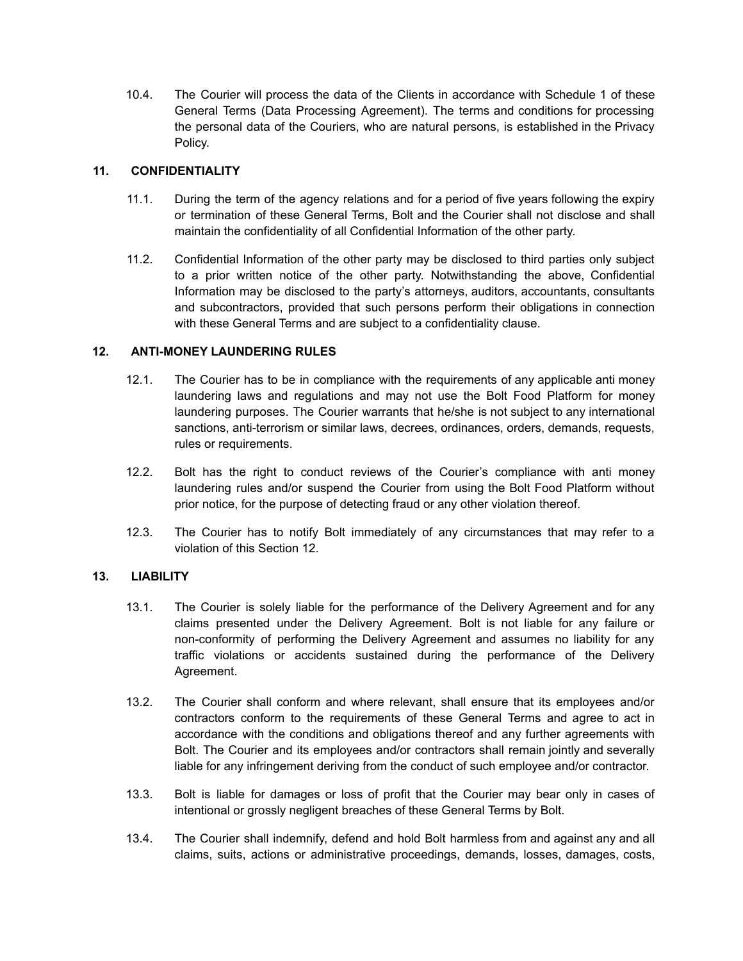10.4. The Courier will process the data of the Clients in accordance with Schedule 1 of these General Terms (Data Processing Agreement). The terms and conditions for processing the personal data of the Couriers, who are natural persons, is established in the Privacy Policy.

## **11. CONFIDENTIALITY**

- 11.1. During the term of the agency relations and for a period of five years following the expiry or termination of these General Terms, Bolt and the Courier shall not disclose and shall maintain the confidentiality of all Confidential Information of the other party.
- 11.2. Confidential Information of the other party may be disclosed to third parties only subject to a prior written notice of the other party. Notwithstanding the above, Confidential Information may be disclosed to the party's attorneys, auditors, accountants, consultants and subcontractors, provided that such persons perform their obligations in connection with these General Terms and are subject to a confidentiality clause.

# **12. ANTI-MONEY LAUNDERING RULES**

- 12.1. The Courier has to be in compliance with the requirements of any applicable anti money laundering laws and regulations and may not use the Bolt Food Platform for money laundering purposes. The Courier warrants that he/she is not subject to any international sanctions, anti-terrorism or similar laws, decrees, ordinances, orders, demands, requests, rules or requirements.
- 12.2. Bolt has the right to conduct reviews of the Courier's compliance with anti money laundering rules and/or suspend the Courier from using the Bolt Food Platform without prior notice, for the purpose of detecting fraud or any other violation thereof.
- 12.3. The Courier has to notify Bolt immediately of any circumstances that may refer to a violation of this Section 12.

## **13. LIABILITY**

- 13.1. The Courier is solely liable for the performance of the Delivery Agreement and for any claims presented under the Delivery Agreement. Bolt is not liable for any failure or non-conformity of performing the Delivery Agreement and assumes no liability for any traffic violations or accidents sustained during the performance of the Delivery Agreement.
- 13.2. The Courier shall conform and where relevant, shall ensure that its employees and/or contractors conform to the requirements of these General Terms and agree to act in accordance with the conditions and obligations thereof and any further agreements with Bolt. The Courier and its employees and/or contractors shall remain jointly and severally liable for any infringement deriving from the conduct of such employee and/or contractor.
- 13.3. Bolt is liable for damages or loss of profit that the Courier may bear only in cases of intentional or grossly negligent breaches of these General Terms by Bolt.
- 13.4. The Courier shall indemnify, defend and hold Bolt harmless from and against any and all claims, suits, actions or administrative proceedings, demands, losses, damages, costs,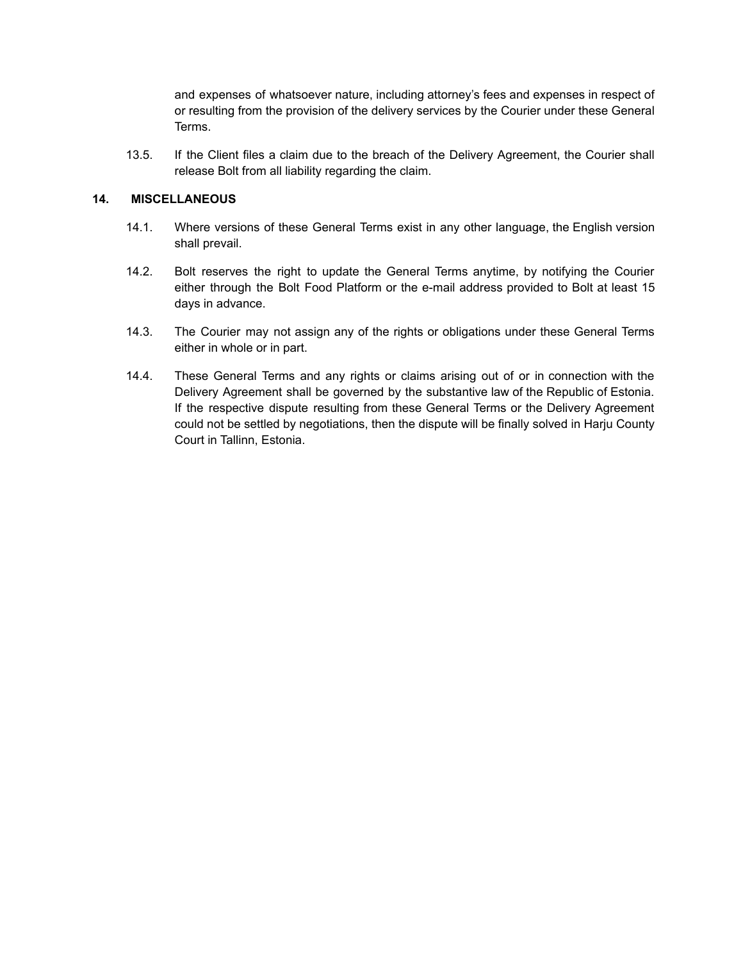and expenses of whatsoever nature, including attorney's fees and expenses in respect of or resulting from the provision of the delivery services by the Courier under these General Terms.

13.5. If the Client files a claim due to the breach of the Delivery Agreement, the Courier shall release Bolt from all liability regarding the claim.

#### **14. MISCELLANEOUS**

- 14.1. Where versions of these General Terms exist in any other language, the English version shall prevail.
- 14.2. Bolt reserves the right to update the General Terms anytime, by notifying the Courier either through the Bolt Food Platform or the e-mail address provided to Bolt at least 15 days in advance.
- 14.3. The Courier may not assign any of the rights or obligations under these General Terms either in whole or in part.
- 14.4. These General Terms and any rights or claims arising out of or in connection with the Delivery Agreement shall be governed by the substantive law of the Republic of Estonia. If the respective dispute resulting from these General Terms or the Delivery Agreement could not be settled by negotiations, then the dispute will be finally solved in Harju County Court in Tallinn, Estonia.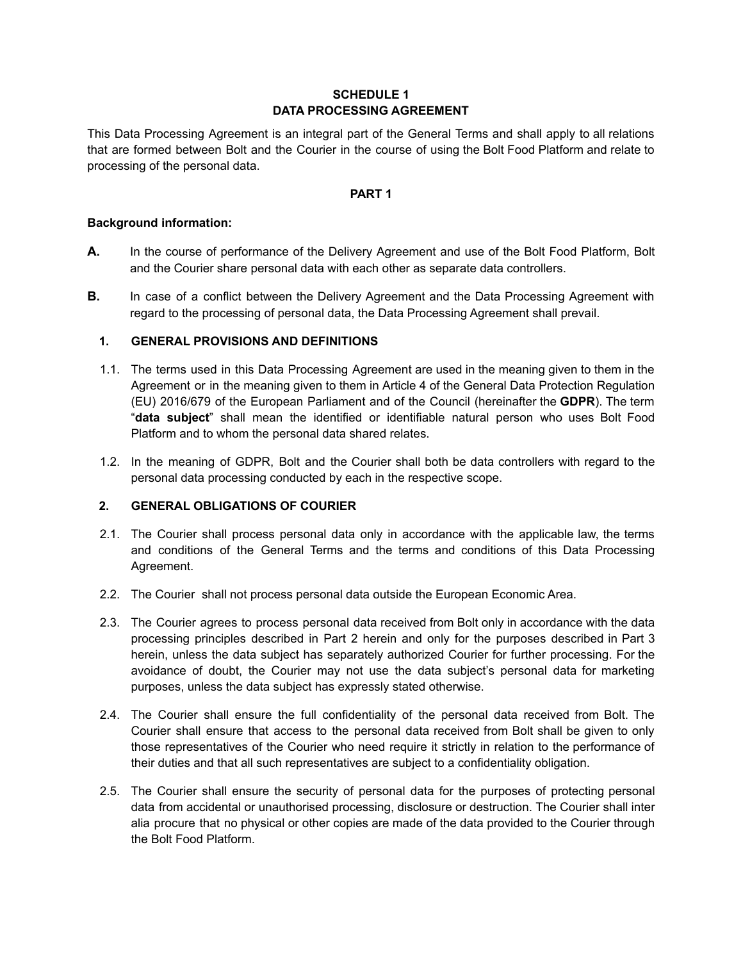# **SCHEDULE 1 DATA PROCESSING AGREEMENT**

This Data Processing Agreement is an integral part of the General Terms and shall apply to all relations that are formed between Bolt and the Courier in the course of using the Bolt Food Platform and relate to processing of the personal data.

#### **PART 1**

#### **Background information:**

- **A.** In the course of performance of the Delivery Agreement and use of the Bolt Food Platform, Bolt and the Courier share personal data with each other as separate data controllers.
- **B.** In case of a conflict between the Delivery Agreement and the Data Processing Agreement with regard to the processing of personal data, the Data Processing Agreement shall prevail.

## **1. GENERAL PROVISIONS AND DEFINITIONS**

- 1.1. The terms used in this Data Processing Agreement are used in the meaning given to them in the Agreement or in the meaning given to them in Article 4 of the General Data Protection Regulation (EU) 2016/679 of the European Parliament and of the Council (hereinafter the **GDPR**). The term "**data subject**" shall mean the identified or identifiable natural person who uses Bolt Food Platform and to whom the personal data shared relates.
- 1.2. In the meaning of GDPR, Bolt and the Courier shall both be data controllers with regard to the personal data processing conducted by each in the respective scope.

## **2. GENERAL OBLIGATIONS OF COURIER**

- 2.1. The Courier shall process personal data only in accordance with the applicable law, the terms and conditions of the General Terms and the terms and conditions of this Data Processing Agreement.
- 2.2. The Courier shall not process personal data outside the European Economic Area.
- 2.3. The Courier agrees to process personal data received from Bolt only in accordance with the data processing principles described in Part 2 herein and only for the purposes described in Part 3 herein, unless the data subject has separately authorized Courier for further processing. For the avoidance of doubt, the Courier may not use the data subject's personal data for marketing purposes, unless the data subject has expressly stated otherwise.
- 2.4. The Courier shall ensure the full confidentiality of the personal data received from Bolt. The Courier shall ensure that access to the personal data received from Bolt shall be given to only those representatives of the Courier who need require it strictly in relation to the performance of their duties and that all such representatives are subject to a confidentiality obligation.
- 2.5. The Courier shall ensure the security of personal data for the purposes of protecting personal data from accidental or unauthorised processing, disclosure or destruction. The Courier shall inter alia procure that no physical or other copies are made of the data provided to the Courier through the Bolt Food Platform.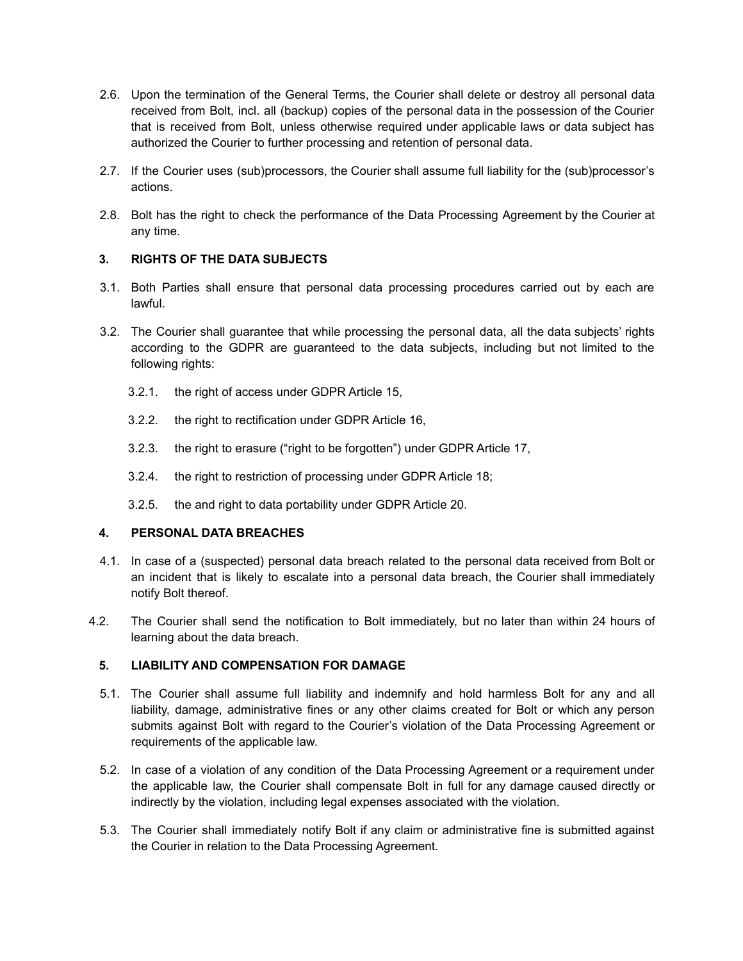- 2.6. Upon the termination of the General Terms, the Courier shall delete or destroy all personal data received from Bolt, incl. all (backup) copies of the personal data in the possession of the Courier that is received from Bolt, unless otherwise required under applicable laws or data subject has authorized the Courier to further processing and retention of personal data.
- 2.7. If the Courier uses (sub)processors, the Courier shall assume full liability for the (sub)processor's actions.
- 2.8. Bolt has the right to check the performance of the Data Processing Agreement by the Courier at any time.

# **3. RIGHTS OF THE DATA SUBJECTS**

- 3.1. Both Parties shall ensure that personal data processing procedures carried out by each are lawful.
- 3.2. The Courier shall guarantee that while processing the personal data, all the data subjects' rights according to the GDPR are guaranteed to the data subjects, including but not limited to the following rights:
	- 3.2.1. the right of access under GDPR Article 15,
	- 3.2.2. the right to rectification under GDPR Article 16,
	- 3.2.3. the right to erasure ("right to be forgotten") under GDPR Article 17,
	- 3.2.4. the right to restriction of processing under GDPR Article 18;
	- 3.2.5. the and right to data portability under GDPR Article 20.

## **4. PERSONAL DATA BREACHES**

- 4.1. In case of a (suspected) personal data breach related to the personal data received from Bolt or an incident that is likely to escalate into a personal data breach, the Courier shall immediately notify Bolt thereof.
- 4.2. The Courier shall send the notification to Bolt immediately, but no later than within 24 hours of learning about the data breach.

## **5. LIABILITY AND COMPENSATION FOR DAMAGE**

- 5.1. The Courier shall assume full liability and indemnify and hold harmless Bolt for any and all liability, damage, administrative fines or any other claims created for Bolt or which any person submits against Bolt with regard to the Courier's violation of the Data Processing Agreement or requirements of the applicable law.
- 5.2. In case of a violation of any condition of the Data Processing Agreement or a requirement under the applicable law, the Courier shall compensate Bolt in full for any damage caused directly or indirectly by the violation, including legal expenses associated with the violation.
- 5.3. The Courier shall immediately notify Bolt if any claim or administrative fine is submitted against the Courier in relation to the Data Processing Agreement.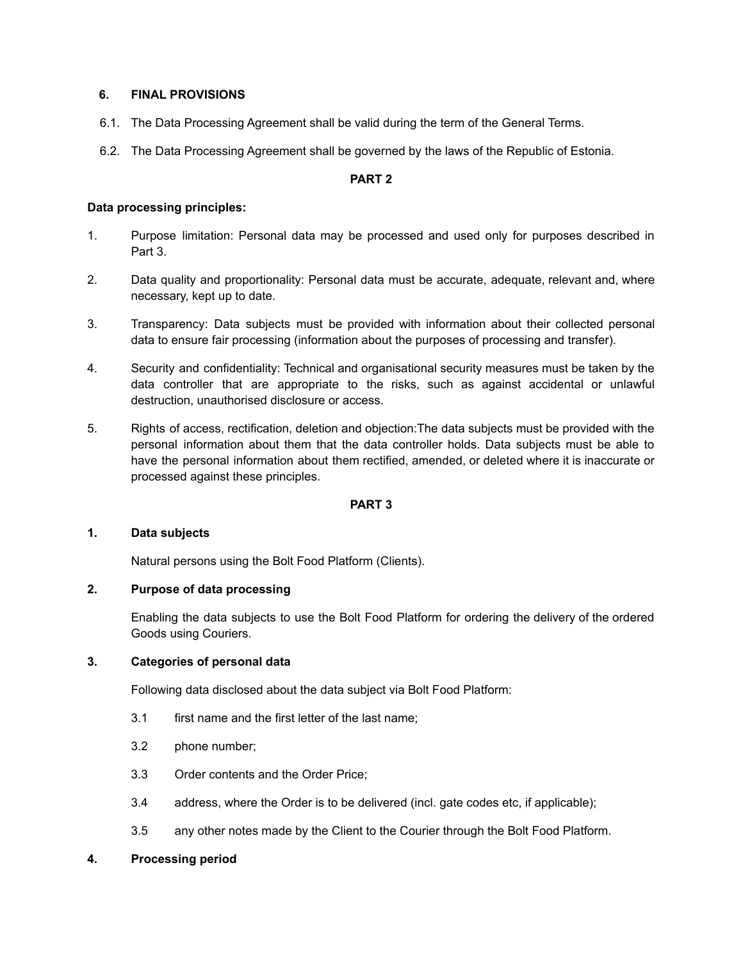#### **6. FINAL PROVISIONS**

- 6.1. The Data Processing Agreement shall be valid during the term of the General Terms.
- 6.2. The Data Processing Agreement shall be governed by the laws of the Republic of Estonia.

#### **PART 2**

#### **Data processing principles:**

- 1. Purpose limitation: Personal data may be processed and used only for purposes described in Part 3.
- 2. Data quality and proportionality: Personal data must be accurate, adequate, relevant and, where necessary, kept up to date.
- 3. Transparency: Data subjects must be provided with information about their collected personal data to ensure fair processing (information about the purposes of processing and transfer).
- 4. Security and confidentiality: Technical and organisational security measures must be taken by the data controller that are appropriate to the risks, such as against accidental or unlawful destruction, unauthorised disclosure or access.
- 5. Rights of access, rectification, deletion and objection:The data subjects must be provided with the personal information about them that the data controller holds. Data subjects must be able to have the personal information about them rectified, amended, or deleted where it is inaccurate or processed against these principles.

## **PART 3**

#### **1. Data subjects**

Natural persons using the Bolt Food Platform (Clients).

# **2. Purpose of data processing**

Enabling the data subjects to use the Bolt Food Platform for ordering the delivery of the ordered Goods using Couriers.

#### **3. Categories of personal data**

Following data disclosed about the data subject via Bolt Food Platform:

- 3.1 first name and the first letter of the last name;
- 3.2 phone number;
- 3.3 Order contents and the Order Price;
- 3.4 address, where the Order is to be delivered (incl. gate codes etc, if applicable);
- 3.5 any other notes made by the Client to the Courier through the Bolt Food Platform.

## **4. Processing period**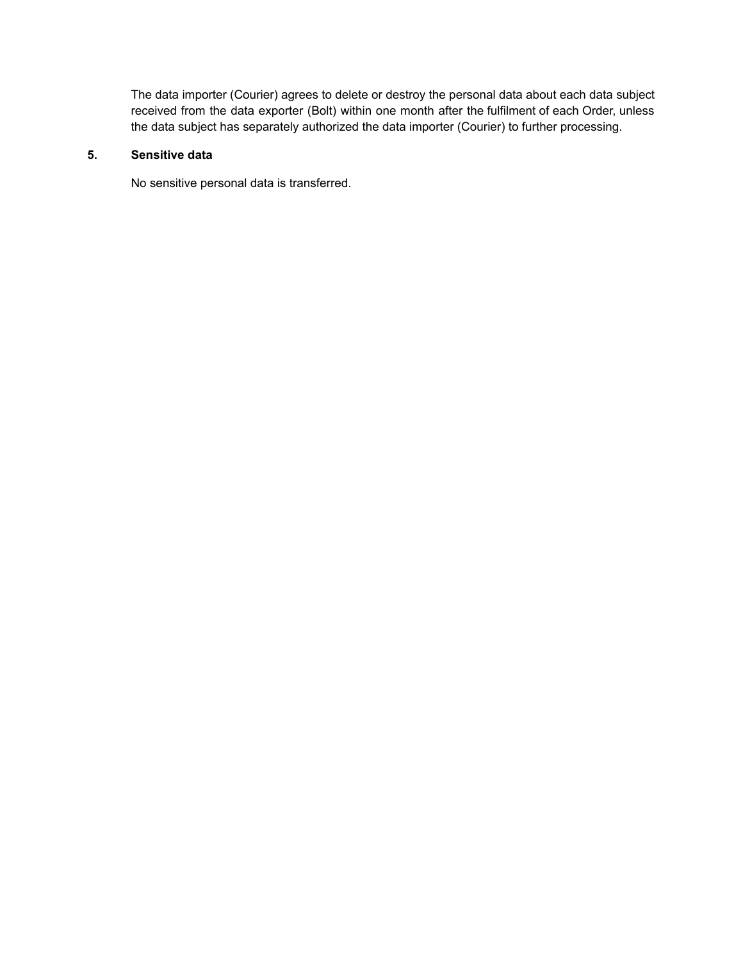The data importer (Courier) agrees to delete or destroy the personal data about each data subject received from the data exporter (Bolt) within one month after the fulfilment of each Order, unless the data subject has separately authorized the data importer (Courier) to further processing.

## **5. Sensitive data**

No sensitive personal data is transferred.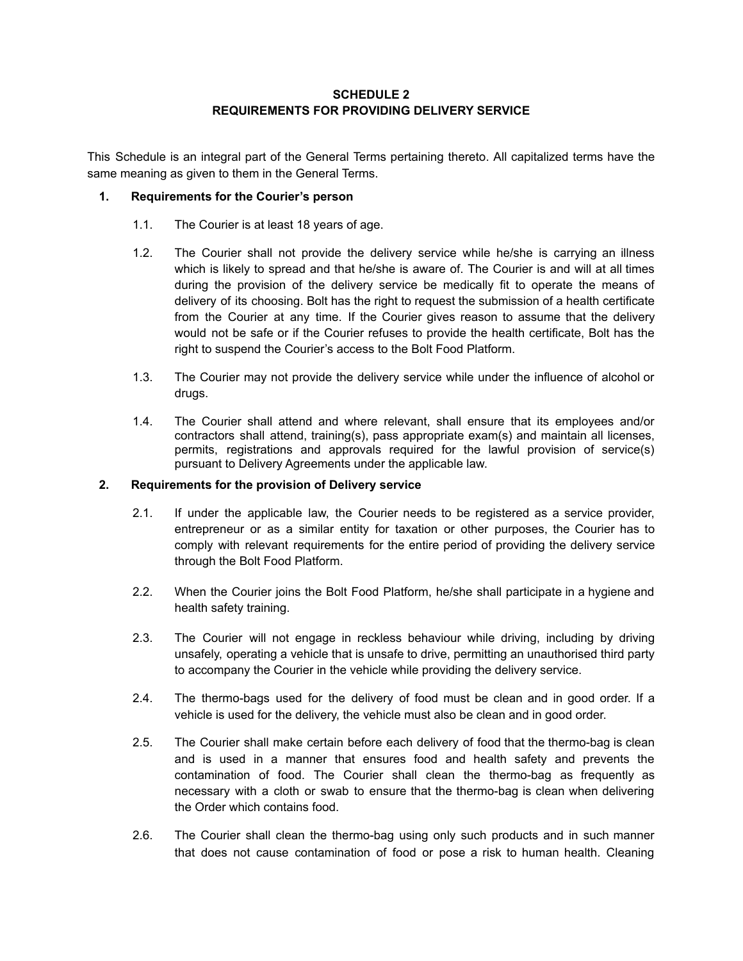#### **SCHEDULE 2 REQUIREMENTS FOR PROVIDING DELIVERY SERVICE**

This Schedule is an integral part of the General Terms pertaining thereto. All capitalized terms have the same meaning as given to them in the General Terms.

#### **1. Requirements for the Courier's person**

- 1.1. The Courier is at least 18 years of age.
- 1.2. The Courier shall not provide the delivery service while he/she is carrying an illness which is likely to spread and that he/she is aware of. The Courier is and will at all times during the provision of the delivery service be medically fit to operate the means of delivery of its choosing. Bolt has the right to request the submission of a health certificate from the Courier at any time. If the Courier gives reason to assume that the delivery would not be safe or if the Courier refuses to provide the health certificate, Bolt has the right to suspend the Courier's access to the Bolt Food Platform.
- 1.3. The Courier may not provide the delivery service while under the influence of alcohol or drugs.
- 1.4. The Courier shall attend and where relevant, shall ensure that its employees and/or contractors shall attend, training(s), pass appropriate exam(s) and maintain all licenses, permits, registrations and approvals required for the lawful provision of service(s) pursuant to Delivery Agreements under the applicable law.

#### **2. Requirements for the provision of Delivery service**

- 2.1. If under the applicable law, the Courier needs to be registered as a service provider, entrepreneur or as a similar entity for taxation or other purposes, the Courier has to comply with relevant requirements for the entire period of providing the delivery service through the Bolt Food Platform.
- 2.2. When the Courier joins the Bolt Food Platform, he/she shall participate in a hygiene and health safety training.
- 2.3. The Courier will not engage in reckless behaviour while driving, including by driving unsafely, operating a vehicle that is unsafe to drive, permitting an unauthorised third party to accompany the Courier in the vehicle while providing the delivery service.
- 2.4. The thermo-bags used for the delivery of food must be clean and in good order. If a vehicle is used for the delivery, the vehicle must also be clean and in good order.
- 2.5. The Courier shall make certain before each delivery of food that the thermo-bag is clean and is used in a manner that ensures food and health safety and prevents the contamination of food. The Courier shall clean the thermo-bag as frequently as necessary with a cloth or swab to ensure that the thermo-bag is clean when delivering the Order which contains food.
- 2.6. The Courier shall clean the thermo-bag using only such products and in such manner that does not cause contamination of food or pose a risk to human health. Cleaning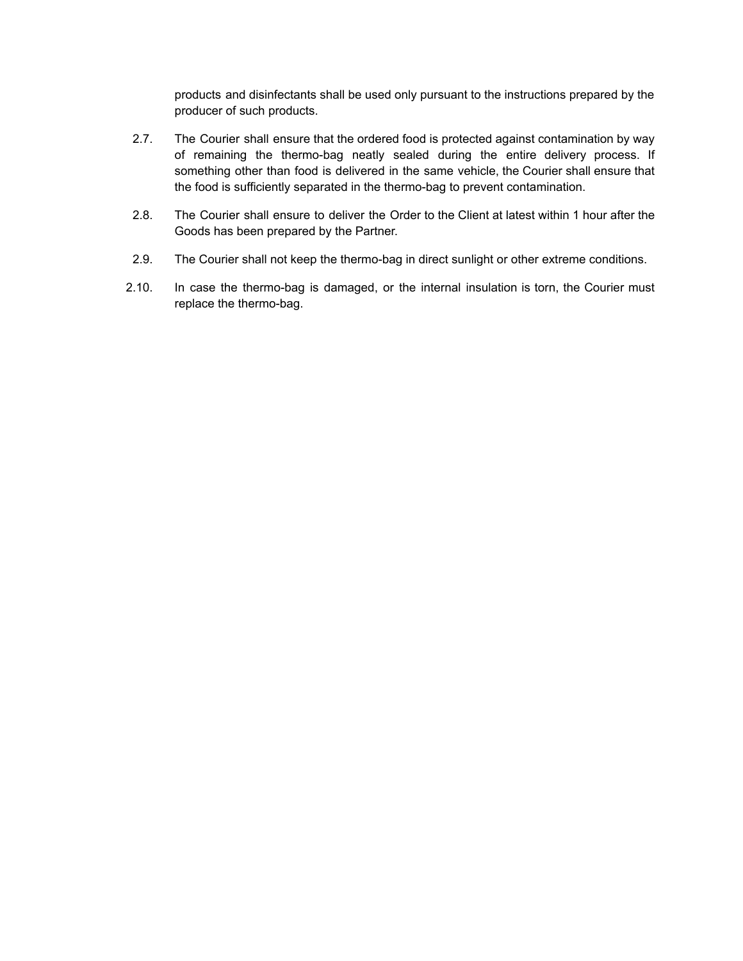products and disinfectants shall be used only pursuant to the instructions prepared by the producer of such products.

- 2.7. The Courier shall ensure that the ordered food is protected against contamination by way of remaining the thermo-bag neatly sealed during the entire delivery process. If something other than food is delivered in the same vehicle, the Courier shall ensure that the food is sufficiently separated in the thermo-bag to prevent contamination.
- 2.8. The Courier shall ensure to deliver the Order to the Client at latest within 1 hour after the Goods has been prepared by the Partner.
- 2.9. The Courier shall not keep the thermo-bag in direct sunlight or other extreme conditions.
- 2.10. In case the thermo-bag is damaged, or the internal insulation is torn, the Courier must replace the thermo-bag.